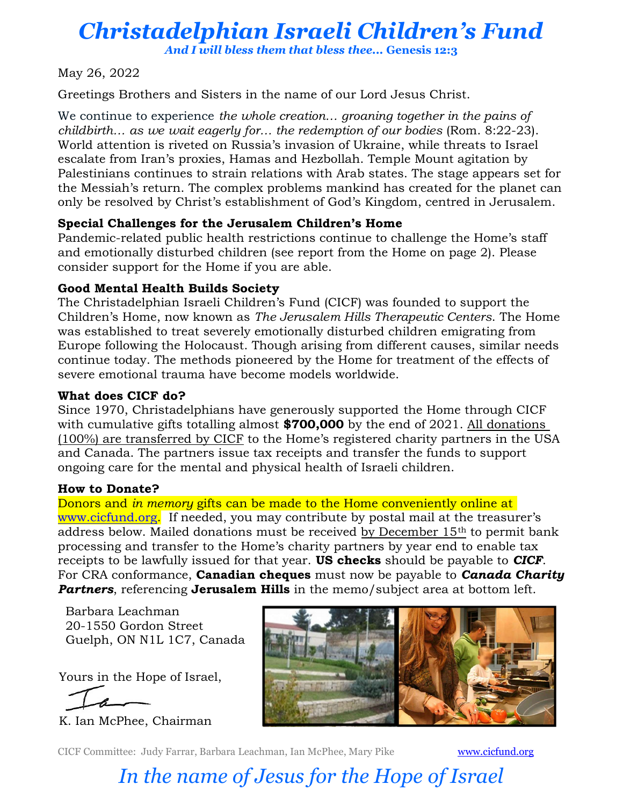## Christadelphian Israeli Children's Fund

And I will bless them that bless thee... Genesis 12:3

May 26, 2022

Greetings Brothers and Sisters in the name of our Lord Jesus Christ.

We continue to experience the whole creation... groaning together in the pains of childbirth… as we wait eagerly for… the redemption of our bodies (Rom. 8:22-23). World attention is riveted on Russia's invasion of Ukraine, while threats to Israel escalate from Iran's proxies, Hamas and Hezbollah. Temple Mount agitation by Palestinians continues to strain relations with Arab states. The stage appears set for the Messiah's return. The complex problems mankind has created for the planet can only be resolved by Christ's establishment of God's Kingdom, centred in Jerusalem.

#### Special Challenges for the Jerusalem Children's Home

Pandemic-related public health restrictions continue to challenge the Home's staff and emotionally disturbed children (see report from the Home on page 2). Please consider support for the Home if you are able.

### Good Mental Health Builds Society

The Christadelphian Israeli Children's Fund (CICF) was founded to support the Children's Home, now known as The Jerusalem Hills Therapeutic Centers. The Home was established to treat severely emotionally disturbed children emigrating from Europe following the Holocaust. Though arising from different causes, similar needs continue today. The methods pioneered by the Home for treatment of the effects of severe emotional trauma have become models worldwide.

#### What does CICF do?

Since 1970, Christadelphians have generously supported the Home through CICF with cumulative gifts totalling almost  $$700,000$  by the end of 2021. All donations (100%) are transferred by CICF to the Home's registered charity partners in the USA and Canada. The partners issue tax receipts and transfer the funds to support ongoing care for the mental and physical health of Israeli children.

### How to Donate?

Donors and *in memory* gifts can be made to the Home conveniently online at www.cicfund.org. If needed, you may contribute by postal mail at the treasurer's address below. Mailed donations must be received by December 15<sup>th</sup> to permit bank processing and transfer to the Home's charity partners by year end to enable tax receipts to be lawfully issued for that year. **US checks** should be payable to **CICF**. For CRA conformance, **Canadian cheques** must now be payable to **Canada Charity** Partners, referencing Jerusalem Hills in the memo/subject area at bottom left.

Barbara Leachman 20-1550 Gordon Street Guelph, ON N1L 1C7, Canada

Yours in the Hope of Israel,

K. Ian McPhee, Chairman



CICF Committee: Judy Farrar, Barbara Leachman, Ian McPhee, Mary Pike www.cicfund.org

# In the name of Jesus for the Hope of Israel